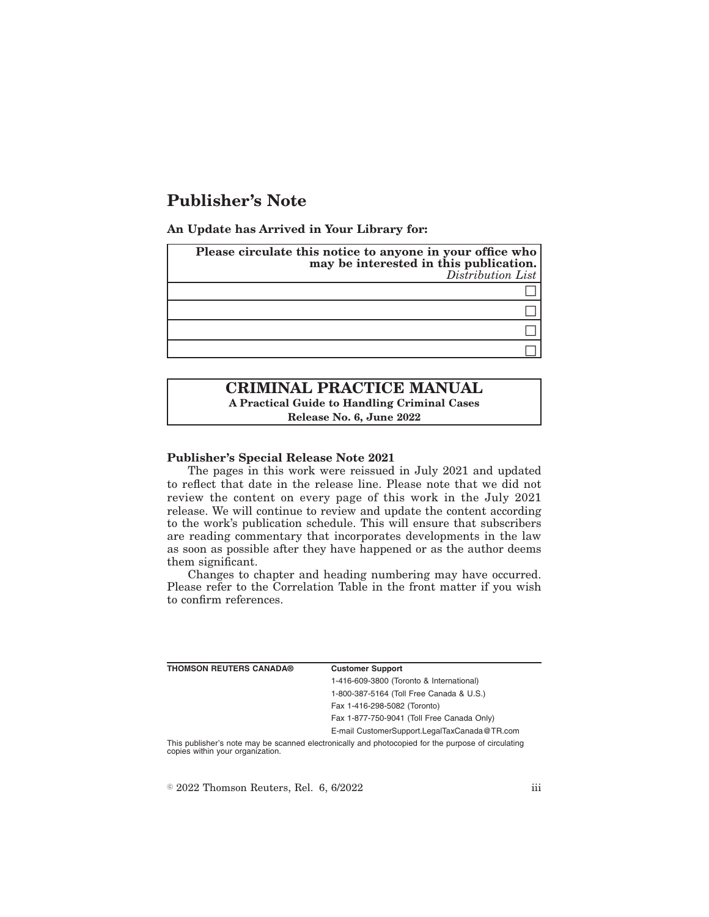# **Publisher's Note**

**An Update has Arrived in Your Library for:**

| Please circulate this notice to anyone in your office who<br>may be interested in this publication.<br>Distribution List |
|--------------------------------------------------------------------------------------------------------------------------|
|                                                                                                                          |
|                                                                                                                          |
|                                                                                                                          |
|                                                                                                                          |

# **CRIMINAL PRACTICE MANUAL A Practical Guide to Handling Criminal Cases Release No. 6, June 2022**

#### **Publisher's Special Release Note 2021**

The pages in this work were reissued in July 2021 and updated to reflect that date in the release line. Please note that we did not review the content on every page of this work in the July 2021 release. We will continue to review and update the content according to the work's publication schedule. This will ensure that subscribers are reading commentary that incorporates developments in the law as soon as possible after they have happened or as the author deems them significant.

Changes to chapter and heading numbering may have occurred. Please refer to the Correlation Table in the front matter if you wish to confirm references.

| <b>THOMSON REUTERS CANADA®</b>   | <b>Customer Support</b>                                                                            |
|----------------------------------|----------------------------------------------------------------------------------------------------|
|                                  | 1-416-609-3800 (Toronto & International)                                                           |
|                                  | 1-800-387-5164 (Toll Free Canada & U.S.)                                                           |
|                                  | Fax 1-416-298-5082 (Toronto)                                                                       |
|                                  | Fax 1-877-750-9041 (Toll Free Canada Only)                                                         |
|                                  | E-mail CustomerSupport.LegalTaxCanada@TR.com                                                       |
| copies within your organization. | This publisher's note may be scanned electronically and photocopied for the purpose of circulating |

 $\degree$  2022 Thomson Reuters, Rel. 6, 6/2022 iii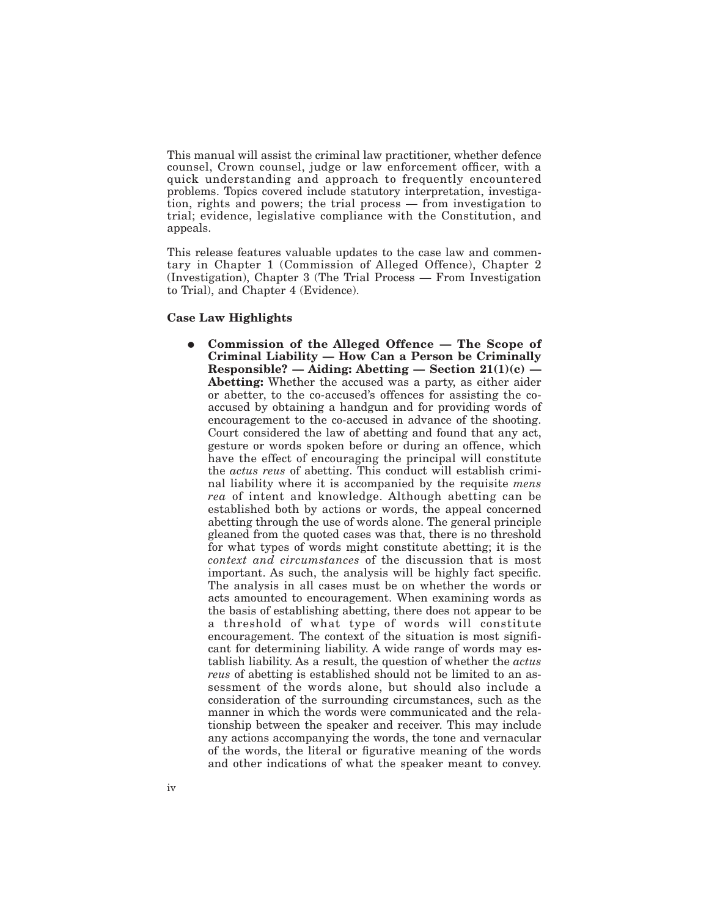This manual will assist the criminal law practitioner, whether defence counsel, Crown counsel, judge or law enforcement officer, with a quick understanding and approach to frequently encountered problems. Topics covered include statutory interpretation, investigation, rights and powers; the trial process — from investigation to trial; evidence, legislative compliance with the Constitution, and appeals.

This release features valuable updates to the case law and commentary in Chapter 1 (Commission of Alleged Offence), Chapter 2 (Investigation), Chapter 3 (The Trial Process — From Investigation to Trial), and Chapter 4 (Evidence).

## **Case Law Highlights**

E **Commission of the Alleged Offence — The Scope of Criminal Liability — How Can a Person be Criminally Responsible? — Aiding: Abetting — Section 21(1)(c) — Abetting:** Whether the accused was a party, as either aider or abetter, to the co-accused's offences for assisting the coaccused by obtaining a handgun and for providing words of encouragement to the co-accused in advance of the shooting. Court considered the law of abetting and found that any act, gesture or words spoken before or during an offence, which have the effect of encouraging the principal will constitute the *actus reus* of abetting. This conduct will establish criminal liability where it is accompanied by the requisite *mens rea* of intent and knowledge. Although abetting can be established both by actions or words, the appeal concerned abetting through the use of words alone. The general principle gleaned from the quoted cases was that, there is no threshold for what types of words might constitute abetting; it is the *context and circumstances* of the discussion that is most important. As such, the analysis will be highly fact specific. The analysis in all cases must be on whether the words or acts amounted to encouragement. When examining words as the basis of establishing abetting, there does not appear to be a threshold of what type of words will constitute encouragement. The context of the situation is most significant for determining liability. A wide range of words may establish liability. As a result, the question of whether the *actus reus* of abetting is established should not be limited to an assessment of the words alone, but should also include a consideration of the surrounding circumstances, such as the manner in which the words were communicated and the relationship between the speaker and receiver. This may include any actions accompanying the words, the tone and vernacular of the words, the literal or figurative meaning of the words and other indications of what the speaker meant to convey.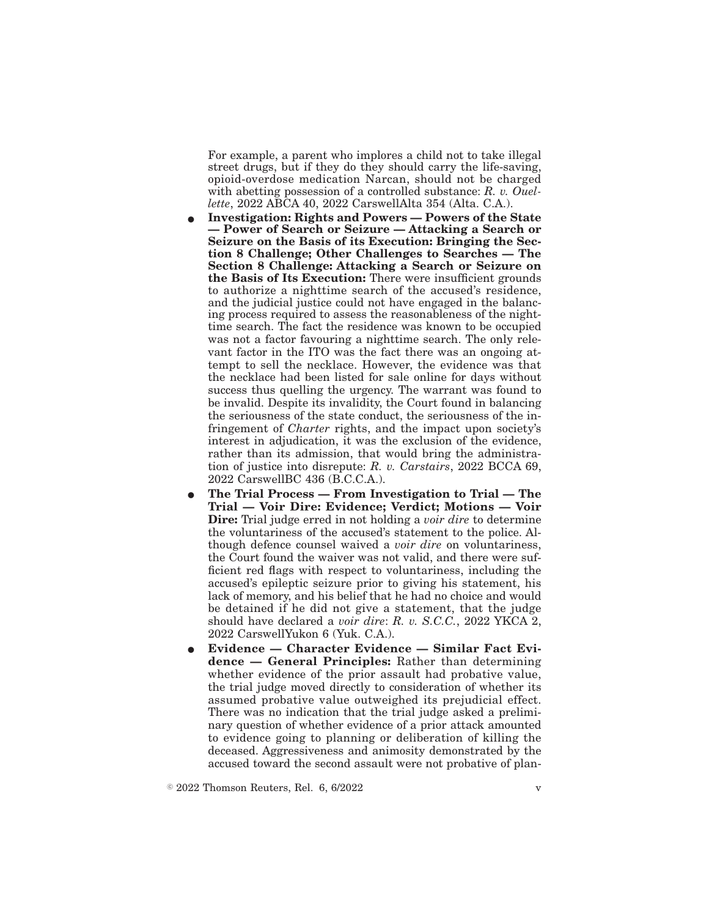For example, a parent who implores a child not to take illegal street drugs, but if they do they should carry the life-saving, opioid-overdose medication Narcan, should not be charged with abetting possession of a controlled substance: *R. v. Ouellette*, 2022 ABCA 40, 2022 CarswellAlta 354 (Alta. C.A.).

- E **Investigation: Rights and Powers Powers of the State — Power of Search or Seizure — Attacking a Search or Seizure on the Basis of its Execution: Bringing the Section 8 Challenge; Other Challenges to Searches — The Section 8 Challenge: Attacking a Search or Seizure on the Basis of Its Execution:** There were insufficient grounds to authorize a nighttime search of the accused's residence, and the judicial justice could not have engaged in the balancing process required to assess the reasonableness of the nighttime search. The fact the residence was known to be occupied was not a factor favouring a nighttime search. The only relevant factor in the ITO was the fact there was an ongoing attempt to sell the necklace. However, the evidence was that the necklace had been listed for sale online for days without success thus quelling the urgency. The warrant was found to be invalid. Despite its invalidity, the Court found in balancing the seriousness of the state conduct, the seriousness of the infringement of *Charter* rights, and the impact upon society's interest in adjudication, it was the exclusion of the evidence, rather than its admission, that would bring the administration of justice into disrepute: *R. v. Carstairs*, 2022 BCCA 69, 2022 CarswellBC 436 (B.C.C.A.).
- E **The Trial Process From Investigation to Trial The Trial — Voir Dire: Evidence; Verdict; Motions — Voir Dire:** Trial judge erred in not holding a *voir dire* to determine the voluntariness of the accused's statement to the police. Although defence counsel waived a *voir dire* on voluntariness, the Court found the waiver was not valid, and there were sufficient red flags with respect to voluntariness, including the accused's epileptic seizure prior to giving his statement, his lack of memory, and his belief that he had no choice and would be detained if he did not give a statement, that the judge should have declared a *voir dire*: *R. v. S.C.C.*, 2022 YKCA 2, 2022 CarswellYukon 6 (Yuk. C.A.).
- Evidence Character Evidence Similar Fact Evi**dence — General Principles:** Rather than determining whether evidence of the prior assault had probative value, the trial judge moved directly to consideration of whether its assumed probative value outweighed its prejudicial effect. There was no indication that the trial judge asked a preliminary question of whether evidence of a prior attack amounted to evidence going to planning or deliberation of killing the deceased. Aggressiveness and animosity demonstrated by the accused toward the second assault were not probative of plan-

 $\degree$  2022 Thomson Reuters, Rel. 6, 6/2022 v